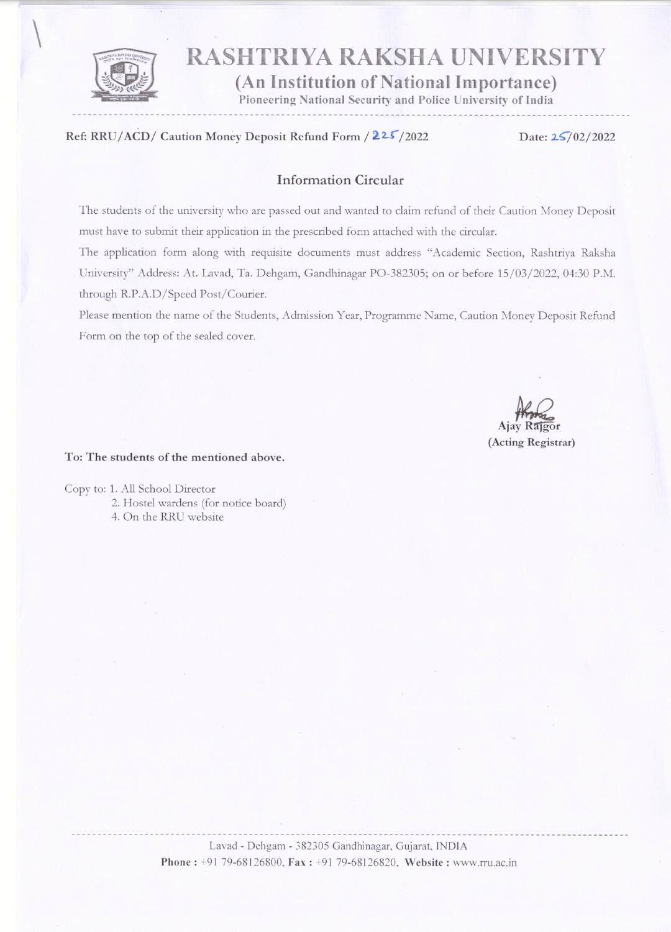

# **RASHTRIYA RAKSHA UNIVERSITY**

(An Institution of National Importance)

Pioneering National Security and Police University of India

#### Ref: RRU/ACD/ Caution Money Deposit Refund Form / 225/2022

Date: 25/02/2022

#### **Information Circular**

The students of the university who are passed out and wanted to claim refund of their Caution Money Deposit must have to submit their application in the prescribed form attached with the circular.

The application form along with requisite documents must address "Academic Section, Rashtriya Raksha University" Address: At. Lavad, Ta. Dehgam, Gandhinagar PO-382305; on or before 15/03/2022, 04:30 P.M. through R.P.A.D/Speed Post/Courier.

Please mention the name of the Students, Admission Year, Programme Name, Caution Money Deposit Refund Form on the top of the sealed cover.

### (Acting Registrar)

#### To: The students of the mentioned above.

Copy to: 1. All School Director 2. Hostel wardens (for notice board) 4. On the RRU website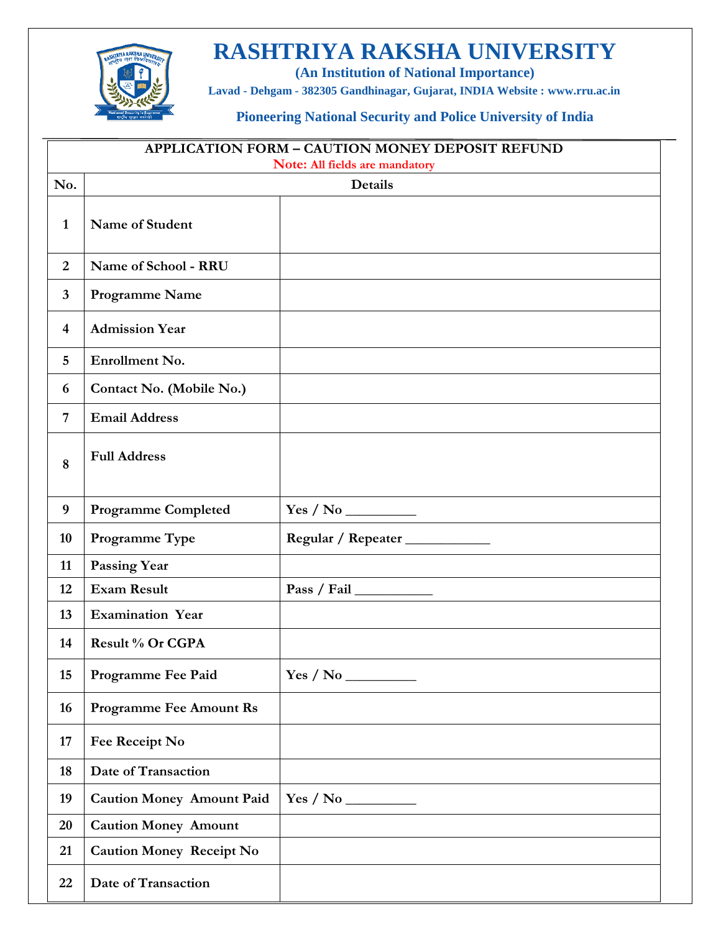# **RASHTRIYA RAKSHA UNIVERSITY**



**(An Institution of National Importance)**

**Lavad - Dehgam - 382305 Gandhinagar, Gujarat, INDIA Website : [www.rru.ac.in](http://www.rru.ac.in/)**

 $\overline{\phantom{0}}$ 

**Pioneering National Security and Police University of India**

| <b>APPLICATION FORM - CAUTION MONEY DEPOSIT REFUND</b> |                                  |                                  |  |
|--------------------------------------------------------|----------------------------------|----------------------------------|--|
|                                                        | Note: All fields are mandatory   |                                  |  |
| No.                                                    |                                  | <b>Details</b>                   |  |
| $\mathbf{1}$                                           | Name of Student                  |                                  |  |
| $\overline{2}$                                         | Name of School - RRU             |                                  |  |
| 3                                                      | Programme Name                   |                                  |  |
| $\overline{\mathbf{4}}$                                | <b>Admission Year</b>            |                                  |  |
| 5                                                      | Enrollment No.                   |                                  |  |
| 6                                                      | Contact No. (Mobile No.)         |                                  |  |
| 7                                                      | <b>Email Address</b>             |                                  |  |
| 8                                                      | <b>Full Address</b>              |                                  |  |
| 9                                                      | <b>Programme Completed</b>       |                                  |  |
| 10                                                     | Programme Type                   | Regular / Repeater _____________ |  |
| 11                                                     | <b>Passing Year</b>              |                                  |  |
| 12                                                     | <b>Exam Result</b>               |                                  |  |
| 13                                                     | <b>Examination Year</b>          |                                  |  |
| 14                                                     | Result % Or CGPA                 |                                  |  |
| 15                                                     | Programme Fee Paid               |                                  |  |
| 16                                                     | <b>Programme Fee Amount Rs</b>   |                                  |  |
| 17                                                     | Fee Receipt No                   |                                  |  |
| 18                                                     | Date of Transaction              |                                  |  |
| 19                                                     | <b>Caution Money Amount Paid</b> |                                  |  |
| 20                                                     | <b>Caution Money Amount</b>      |                                  |  |
| 21                                                     | <b>Caution Money Receipt No</b>  |                                  |  |
| 22                                                     | Date of Transaction              |                                  |  |